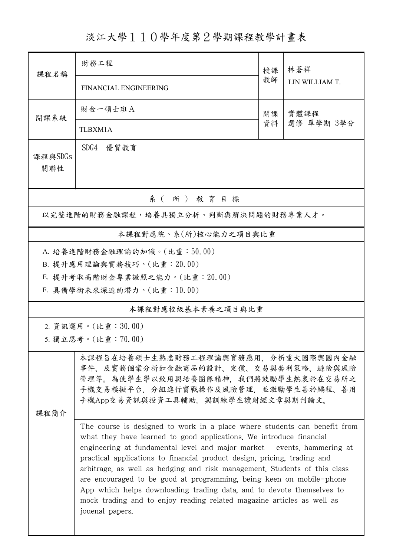## 淡江大學110學年度第2學期課程教學計畫表

| 課程名稱                                 | 財務工程                                                                                                                                                                                                                                                                                                                                                                                                                                                                                                                                                                                                                              | 授課       | 林蒼祥<br>LIN WILLIAM T. |  |  |
|--------------------------------------|-----------------------------------------------------------------------------------------------------------------------------------------------------------------------------------------------------------------------------------------------------------------------------------------------------------------------------------------------------------------------------------------------------------------------------------------------------------------------------------------------------------------------------------------------------------------------------------------------------------------------------------|----------|-----------------------|--|--|
|                                      | FINANCIAL ENGINEERING                                                                                                                                                                                                                                                                                                                                                                                                                                                                                                                                                                                                             | 教師       |                       |  |  |
| 開課系級                                 | 財金一碩士班A                                                                                                                                                                                                                                                                                                                                                                                                                                                                                                                                                                                                                           | 開課<br>資料 | 實體課程<br>選修 單學期 3學分    |  |  |
|                                      | TLBXM1A                                                                                                                                                                                                                                                                                                                                                                                                                                                                                                                                                                                                                           |          |                       |  |  |
| 課程與SDGs<br>關聯性                       | SDG4<br>優質教育                                                                                                                                                                                                                                                                                                                                                                                                                                                                                                                                                                                                                      |          |                       |  |  |
| 系(所)教育目標                             |                                                                                                                                                                                                                                                                                                                                                                                                                                                                                                                                                                                                                                   |          |                       |  |  |
| 以完整進階的財務金融課程,培養具獨立分析、判斷與解決問題的財務專業人才。 |                                                                                                                                                                                                                                                                                                                                                                                                                                                                                                                                                                                                                                   |          |                       |  |  |
| 本課程對應院、系(所)核心能力之項目與比重                |                                                                                                                                                                                                                                                                                                                                                                                                                                                                                                                                                                                                                                   |          |                       |  |  |
| A. 培養進階財務金融理論的知識。(比重:50.00)          |                                                                                                                                                                                                                                                                                                                                                                                                                                                                                                                                                                                                                                   |          |                       |  |  |
| B. 提升應用理論與實務技巧。(比重: 20.00)           |                                                                                                                                                                                                                                                                                                                                                                                                                                                                                                                                                                                                                                   |          |                       |  |  |
|                                      | E. 提升考取高階財金專業證照之能力。(比重: 20.00)                                                                                                                                                                                                                                                                                                                                                                                                                                                                                                                                                                                                    |          |                       |  |  |
| F. 具備學術未來深造的潛力。(比重:10.00)            |                                                                                                                                                                                                                                                                                                                                                                                                                                                                                                                                                                                                                                   |          |                       |  |  |
| 本課程對應校級基本素養之項目與比重                    |                                                                                                                                                                                                                                                                                                                                                                                                                                                                                                                                                                                                                                   |          |                       |  |  |
| 2. 資訊運用。(比重:30.00)                   |                                                                                                                                                                                                                                                                                                                                                                                                                                                                                                                                                                                                                                   |          |                       |  |  |
| 5. 獨立思考。(比重:70.00)                   |                                                                                                                                                                                                                                                                                                                                                                                                                                                                                                                                                                                                                                   |          |                       |  |  |
| 课程简介                                 | 本課程旨在培養碩士生熟悉財務工程理論與實務應用,分析重大國際與國內金融<br>事件、及實務個案分析如金融商品的設計、定價、交易與套利策略、避險與風險<br>管理等。為使學生學以致用與培養團隊精神、我們將鼓勵學生熱衷於在交易所之<br>手機交易模擬平台,分組進行實戰操作及風險管理,並激勵學生善於編程、善用<br>手機App交易資訊與投資工具輔助, 與訓練學生讀財經文章與期刊論文。                                                                                                                                                                                                                                                                                                                                                                                                                                    |          |                       |  |  |
|                                      | The course is designed to work in a place where students can benefit from<br>what they have learned to good applications. We introduce financial<br>engineering at fundamental level and major market events, hammering at<br>practical applications to financial product design, pricing, trading and<br>arbitrage, as well as hedging and risk management. Students of this class<br>are encouraged to be good at programming, being keen on mobile-phone<br>App which helps downloading trading data, and to devote themselves to<br>mock trading and to enjoy reading related magazine articles as well as<br>jouenal papers. |          |                       |  |  |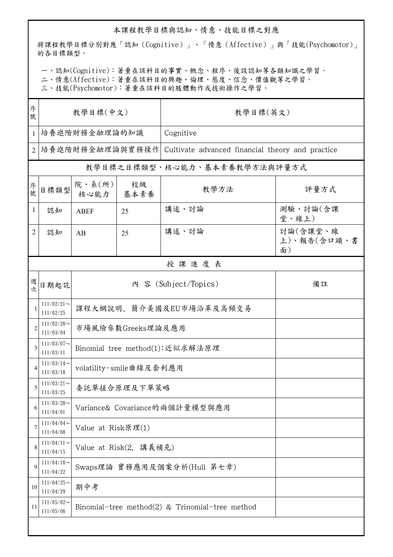## 本課程教學目標與認知、情意、技能目標之對應

將課程教學目標分別對應「認知(Cognitive)」、「情意(Affective)」與「技能(Psychomotor)」 的各目標類型。

一、認知(Cognitive):著重在該科目的事實、概念、程序、後設認知等各類知識之學習。

二、情意(Affective):著重在該科目的興趣、倫理、態度、信念、價值觀等之學習。

三、技能(Psychomotor):著重在該科目的肢體動作或技術操作之學習。

| 序<br>號         | 教學目標(中文)                   |                                                    |                             | 教學目標(英文)                                         |                               |  |  |  |
|----------------|----------------------------|----------------------------------------------------|-----------------------------|--------------------------------------------------|-------------------------------|--|--|--|
| 1              | 培養進階財務金融理論的知識              |                                                    |                             | Cognitive                                        |                               |  |  |  |
| $\overline{2}$ | 培養進階財務金融理論與實務操作            |                                                    |                             | Cultivate advanced financial theory and practice |                               |  |  |  |
|                |                            |                                                    |                             | 教學目標之目標類型、核心能力、基本素養教學方法與評量方式                     |                               |  |  |  |
| 序號             | 目標類型                       | 院、系(所)<br>核心能力                                     | 校級<br>基本素養                  | 教學方法                                             | 評量方式                          |  |  |  |
| 1              | 認知                         | <b>ABEF</b>                                        | 25                          | 講述、討論                                            | 測驗、討論(含課<br>堂、線上)             |  |  |  |
| $\overline{2}$ | 認知                         | AB                                                 | 25                          | 講述、討論                                            | 討論(含課堂、線<br>上)、報告(含口頭、書<br>面) |  |  |  |
|                | 授課進度表                      |                                                    |                             |                                                  |                               |  |  |  |
| 週<br>次         | 日期起訖                       |                                                    |                             | 內 容 (Subject/Topics)                             | 備註                            |  |  |  |
|                | $111/02/21$ ~<br>111/02/25 | 課程大綱說明、簡介美國及EU市場沿革及高頻交易                            |                             |                                                  |                               |  |  |  |
| $\overline{2}$ | $111/02/28$ ~<br>111/03/04 | 市場風險參數Greeks理論及應用                                  |                             |                                                  |                               |  |  |  |
| 3              | $111/03/07$ ~<br>111/03/11 | Binomial tree method(1):近似求解法原理                    |                             |                                                  |                               |  |  |  |
| $\overline{4}$ | $111/03/14$ ~<br>111/03/18 | volatility-smile曲線及套利應用                            |                             |                                                  |                               |  |  |  |
| 5              | $111/03/21$ ~<br>111/03/25 | 委託單搓合原理及下單策略                                       |                             |                                                  |                               |  |  |  |
| 6              | $111/03/28$ ~<br>111/04/01 | Variance& Covariance的兩個計量模型與應用                     |                             |                                                  |                               |  |  |  |
| 7              | $111/04/04$ ~<br>111/04/08 | Value at Risk原理(1)                                 |                             |                                                  |                               |  |  |  |
| 8              | $111/04/11$ ~<br>111/04/15 | Value at Risk(2. 講義補充)                             |                             |                                                  |                               |  |  |  |
| 9              | $111/04/18$ ~<br>111/04/22 |                                                    | Swaps理論 實務應用及個案分析(Hull 第七章) |                                                  |                               |  |  |  |
| 10             | $111/04/25$ ~<br>111/04/29 | 期中考                                                |                             |                                                  |                               |  |  |  |
| 11             | $111/05/02$ ~<br>111/05/06 | Binomial-tree method $(2)$ & Trinomial-tree method |                             |                                                  |                               |  |  |  |
|                |                            |                                                    |                             |                                                  |                               |  |  |  |